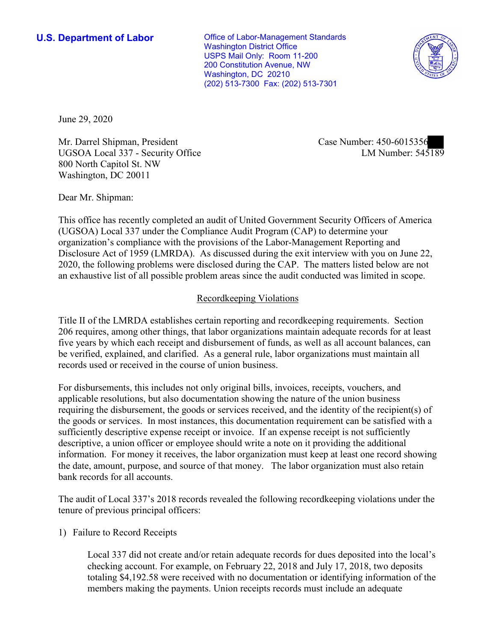**U.S. Department of Labor Conservative Conservative Conservative Conservative Conservative Conservative Conservative Conservative Conservative Conservative Conservative Conservative Conservative Conservative Conservative** Washington District Office USPS Mail Only: Room 11-200 200 Constitution Avenue, NW Washington, DC 20210 (202) 513-7300 Fax: (202) 513-7301



June 29, 2020

Mr. Darrel Shipman, President UGSOA Local 337 - Security Office 800 North Capitol St. NW Washington, DC 20011

Case Number: 450-6015356<br>LM Number: 545189

Dear Mr. Shipman:

 This office has recently completed an audit of United Government Security Officers of America (UGSOA) Local 337 under the Compliance Audit Program (CAP) to determine your organization's compliance with the provisions of the Labor-Management Reporting and Disclosure Act of 1959 (LMRDA). As discussed during the exit interview with you on June 22, 2020, the following problems were disclosed during the CAP. The matters listed below are not an exhaustive list of all possible problem areas since the audit conducted was limited in scope.

# Recordkeeping Violations

 Title II of the LMRDA establishes certain reporting and recordkeeping requirements. Section 206 requires, among other things, that labor organizations maintain adequate records for at least five years by which each receipt and disbursement of funds, as well as all account balances, can be verified, explained, and clarified. As a general rule, labor organizations must maintain all records used or received in the course of union business.

For disbursements, this includes not only original bills, invoices, receipts, vouchers, and applicable resolutions, but also documentation showing the nature of the union business requiring the disbursement, the goods or services received, and the identity of the recipient(s) of the goods or services. In most instances, this documentation requirement can be satisfied with a sufficiently descriptive expense receipt or invoice. If an expense receipt is not sufficiently descriptive, a union officer or employee should write a note on it providing the additional information. For money it receives, the labor organization must keep at least one record showing the date, amount, purpose, and source of that money. The labor organization must also retain bank records for all accounts.

The audit of Local 337's 2018 records revealed the following recordkeeping violations under the tenure of previous principal officers:

# 1) Failure to Record Receipts

Local 337 did not create and/or retain adequate records for dues deposited into the local's checking account. For example, on February 22, 2018 and July 17, 2018, two deposits totaling \$[4,192.58](https://4,192.58) were received with no documentation or identifying information of the members making the payments. Union receipts records must include an adequate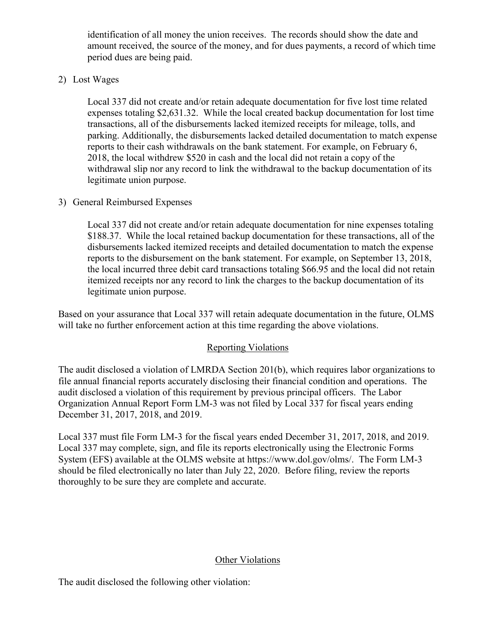identification of all money the union receives. The records should show the date and amount received, the source of the money, and for dues payments, a record of which time period dues are being paid.

2) Lost Wages

 Local 337 did not create and/or retain adequate documentation for five lost time related expenses totaling \$[2,631.32](https://2,631.32). While the local created backup documentation for lost time 2018, the local withdrew \$520 in cash and the local did not retain a copy of the transactions, all of the disbursements lacked itemized receipts for mileage, tolls, and parking. Additionally, the disbursements lacked detailed documentation to match expense reports to their cash withdrawals on the bank statement. For example, on February 6, withdrawal slip nor any record to link the withdrawal to the backup documentation of its legitimate union purpose.

3) General Reimbursed Expenses

Local 337 did not create and/or retain adequate documentation for nine expenses totaling \$188.37. While the local retained backup documentation for these transactions, all of the disbursements lacked itemized receipts and detailed documentation to match the expense reports to the disbursement on the bank statement. For example, on September 13, 2018, the local incurred three debit card transactions totaling \$66.95 and the local did not retain itemized receipts nor any record to link the charges to the backup documentation of its legitimate union purpose.

 Based on your assurance that Local 337 will retain adequate documentation in the future, OLMS will take no further enforcement action at this time regarding the above violations.

### Reporting Violations

 audit disclosed a violation of this requirement by previous principal officers. The Labor The audit disclosed a violation of LMRDA Section 201(b), which requires labor organizations to file annual financial reports accurately disclosing their financial condition and operations. The Organization Annual Report Form LM-3 was not filed by Local 337 for fiscal years ending December 31, 2017, 2018, and 2019.

Local 337 must file Form LM-3 for the fiscal years ended December 31, 2017, 2018, and 2019. Local 337 may complete, sign, and file its reports electronically using the Electronic Forms System (EFS) available at the OLMS website at [https://www.dol.gov/olms/](https://www.dol.gov/olms). The Form LM-3 should be filed electronically no later than July 22, 2020. Before filing, review the reports thoroughly to be sure they are complete and accurate.

# Other Violations

The audit disclosed the following other violation: